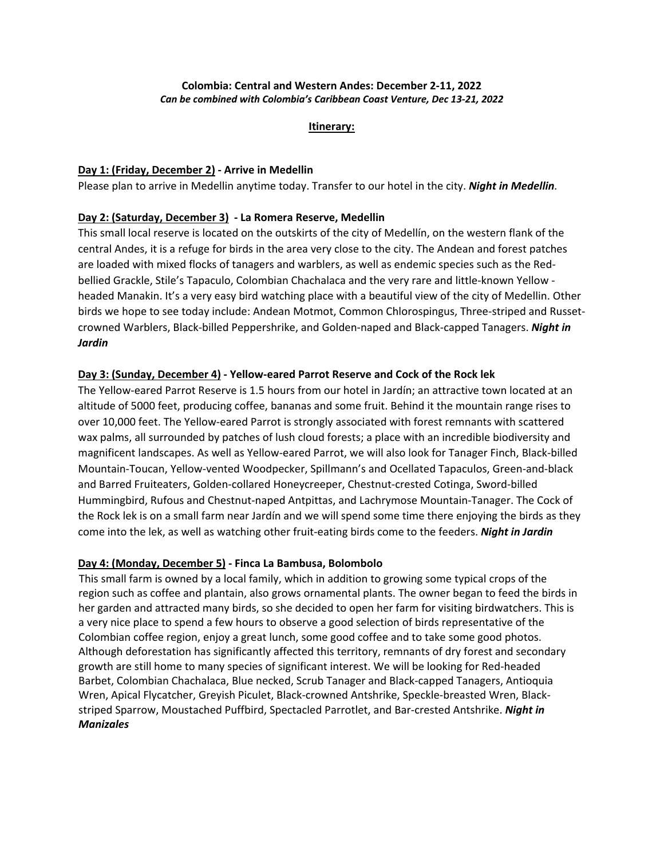# **Colombia: Central and Western Andes: December 2-11, 2022** *Can be combined with Colombia's Caribbean Coast Venture, Dec 13-21, 2022*

#### **Itinerary:**

# **Day 1: (Friday, December 2) - Arrive in Medellin**

Please plan to arrive in Medellin anytime today. Transfer to our hotel in the city. *Night in Medellin.*

# **Day 2: (Saturday, December 3) - La Romera Reserve, Medellin**

This small local reserve is located on the outskirts of the city of Medellín, on the western flank of the central Andes, it is a refuge for birds in the area very close to the city. The Andean and forest patches are loaded with mixed flocks of tanagers and warblers, as well as endemic species such as the Redbellied Grackle, Stile's Tapaculo, Colombian Chachalaca and the very rare and little-known Yellow headed Manakin. It's a very easy bird watching place with a beautiful view of the city of Medellin. Other birds we hope to see today include: Andean Motmot, Common Chlorospingus, Three-striped and Russetcrowned Warblers, Black-billed Peppershrike, and Golden-naped and Black-capped Tanagers. *Night in Jardin*

# **Day 3: (Sunday, December 4) - Yellow-eared Parrot Reserve and Cock of the Rock lek**

The Yellow-eared Parrot Reserve is 1.5 hours from our hotel in Jardín; an attractive town located at an altitude of 5000 feet, producing coffee, bananas and some fruit. Behind it the mountain range rises to over 10,000 feet. The Yellow-eared Parrot is strongly associated with forest remnants with scattered wax palms, all surrounded by patches of lush cloud forests; a place with an incredible biodiversity and magnificent landscapes. As well as Yellow-eared Parrot, we will also look for Tanager Finch, Black-billed Mountain-Toucan, Yellow-vented Woodpecker, Spillmann's and Ocellated Tapaculos, Green-and-black and Barred Fruiteaters, Golden-collared Honeycreeper, Chestnut-crested Cotinga, Sword-billed Hummingbird, Rufous and Chestnut-naped Antpittas, and Lachrymose Mountain-Tanager. The Cock of the Rock lek is on a small farm near Jardín and we will spend some time there enjoying the birds as they come into the lek, as well as watching other fruit-eating birds come to the feeders. *Night in Jardin*

# **Day 4: (Monday, December 5) - Finca La Bambusa, Bolombolo**

This small farm is owned by a local family, which in addition to growing some typical crops of the region such as coffee and plantain, also grows ornamental plants. The owner began to feed the birds in her garden and attracted many birds, so she decided to open her farm for visiting birdwatchers. This is a very nice place to spend a few hours to observe a good selection of birds representative of the Colombian coffee region, enjoy a great lunch, some good coffee and to take some good photos. Although deforestation has significantly affected this territory, remnants of dry forest and secondary growth are still home to many species of significant interest. We will be looking for Red-headed Barbet, Colombian Chachalaca, Blue necked, Scrub Tanager and Black-capped Tanagers, Antioquia Wren, Apical Flycatcher, Greyish Piculet, Black-crowned Antshrike, Speckle-breasted Wren, Blackstriped Sparrow, Moustached Puffbird, Spectacled Parrotlet, and Bar-crested Antshrike. *Night in Manizales*